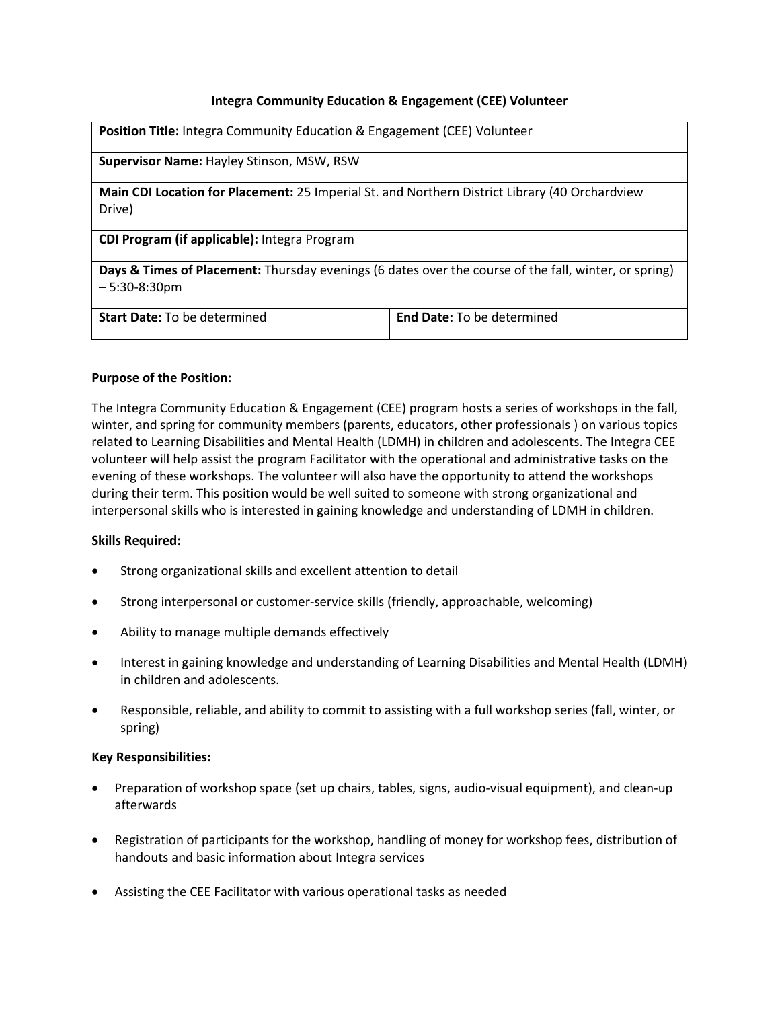# **Integra Community Education & Engagement (CEE) Volunteer**

| <b>Position Title:</b> Integra Community Education & Engagement (CEE) Volunteer                                          |                                   |
|--------------------------------------------------------------------------------------------------------------------------|-----------------------------------|
| <b>Supervisor Name: Hayley Stinson, MSW, RSW</b>                                                                         |                                   |
| Main CDI Location for Placement: 25 Imperial St. and Northern District Library (40 Orchardview<br>Drive)                 |                                   |
| CDI Program (if applicable): Integra Program                                                                             |                                   |
| Days & Times of Placement: Thursday evenings (6 dates over the course of the fall, winter, or spring)<br>$-5:30-8:30$ pm |                                   |
| <b>Start Date: To be determined</b>                                                                                      | <b>End Date:</b> To be determined |

### **Purpose of the Position:**

The Integra Community Education & Engagement (CEE) program hosts a series of workshops in the fall, winter, and spring for community members (parents, educators, other professionals ) on various topics related to Learning Disabilities and Mental Health (LDMH) in children and adolescents. The Integra CEE volunteer will help assist the program Facilitator with the operational and administrative tasks on the evening of these workshops. The volunteer will also have the opportunity to attend the workshops during their term. This position would be well suited to someone with strong organizational and interpersonal skills who is interested in gaining knowledge and understanding of LDMH in children.

#### **Skills Required:**

- Strong organizational skills and excellent attention to detail
- Strong interpersonal or customer-service skills (friendly, approachable, welcoming)
- Ability to manage multiple demands effectively
- Interest in gaining knowledge and understanding of Learning Disabilities and Mental Health (LDMH) in children and adolescents.
- Responsible, reliable, and ability to commit to assisting with a full workshop series (fall, winter, or spring)

#### **Key Responsibilities:**

- Preparation of workshop space (set up chairs, tables, signs, audio-visual equipment), and clean-up afterwards
- Registration of participants for the workshop, handling of money for workshop fees, distribution of handouts and basic information about Integra services
- Assisting the CEE Facilitator with various operational tasks as needed